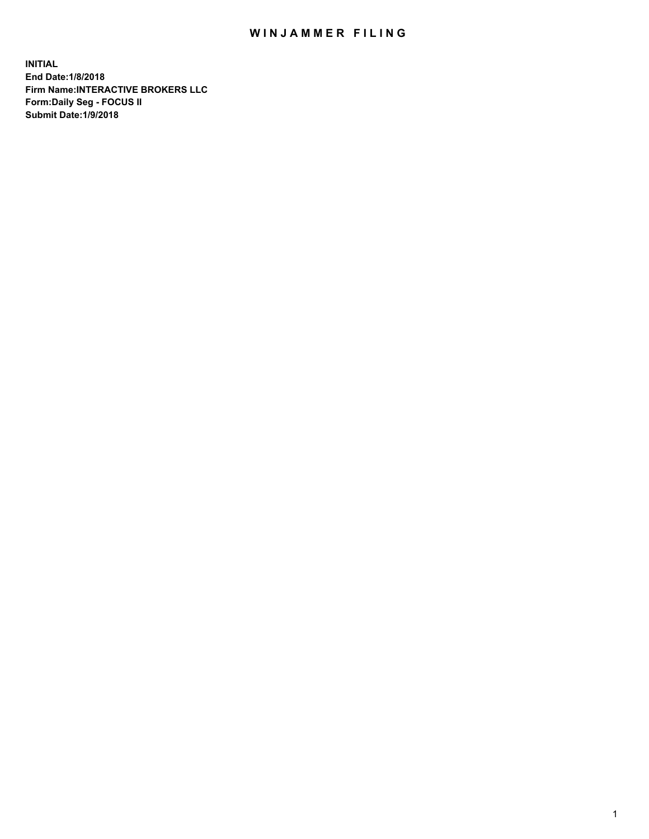## WIN JAMMER FILING

**INITIAL End Date:1/8/2018 Firm Name:INTERACTIVE BROKERS LLC Form:Daily Seg - FOCUS II Submit Date:1/9/2018**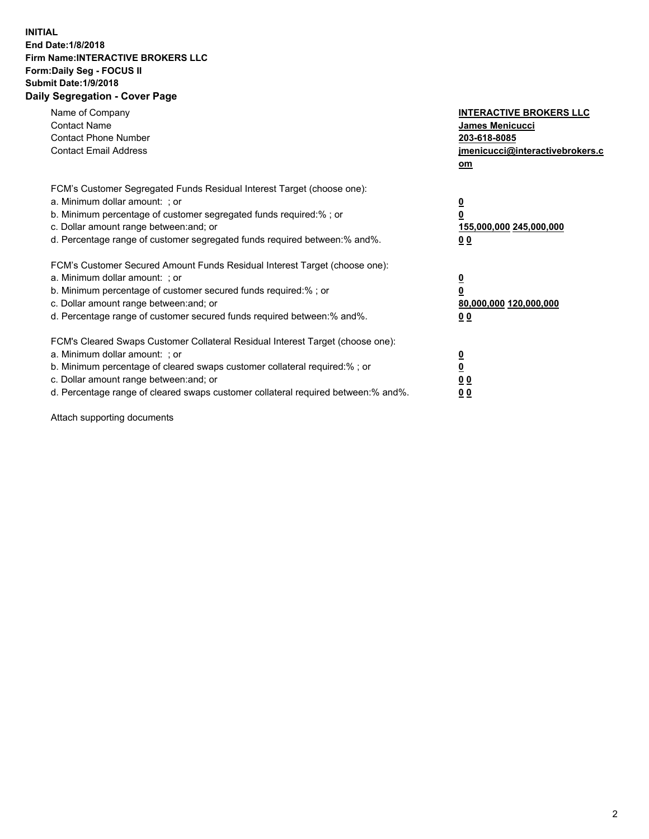## **INITIAL End Date:1/8/2018 Firm Name:INTERACTIVE BROKERS LLC Form:Daily Seg - FOCUS II Submit Date:1/9/2018 Daily Segregation - Cover Page**

| Name of Company<br><b>Contact Name</b><br><b>Contact Phone Number</b><br><b>Contact Email Address</b>                                                                                                                                                                                                                          | <b>INTERACTIVE BROKERS LLC</b><br>James Menicucci<br>203-618-8085<br>jmenicucci@interactivebrokers.c<br>om |
|--------------------------------------------------------------------------------------------------------------------------------------------------------------------------------------------------------------------------------------------------------------------------------------------------------------------------------|------------------------------------------------------------------------------------------------------------|
| FCM's Customer Segregated Funds Residual Interest Target (choose one):<br>a. Minimum dollar amount: ; or<br>b. Minimum percentage of customer segregated funds required:%; or<br>c. Dollar amount range between: and; or<br>d. Percentage range of customer segregated funds required between:% and%.                          | $\overline{\mathbf{0}}$<br>$\overline{\mathbf{0}}$<br>155,000,000 245,000,000<br>00                        |
| FCM's Customer Secured Amount Funds Residual Interest Target (choose one):<br>a. Minimum dollar amount: ; or<br>b. Minimum percentage of customer secured funds required:%; or<br>c. Dollar amount range between: and; or<br>d. Percentage range of customer secured funds required between: % and %.                          | $\overline{\mathbf{0}}$<br>$\mathbf 0$<br>80,000,000 120,000,000<br>00                                     |
| FCM's Cleared Swaps Customer Collateral Residual Interest Target (choose one):<br>a. Minimum dollar amount: ; or<br>b. Minimum percentage of cleared swaps customer collateral required:% ; or<br>c. Dollar amount range between: and; or<br>d. Percentage range of cleared swaps customer collateral required between:% and%. | $\overline{\mathbf{0}}$<br>$\underline{\mathbf{0}}$<br>0 <sub>0</sub><br>0 <sub>0</sub>                    |

Attach supporting documents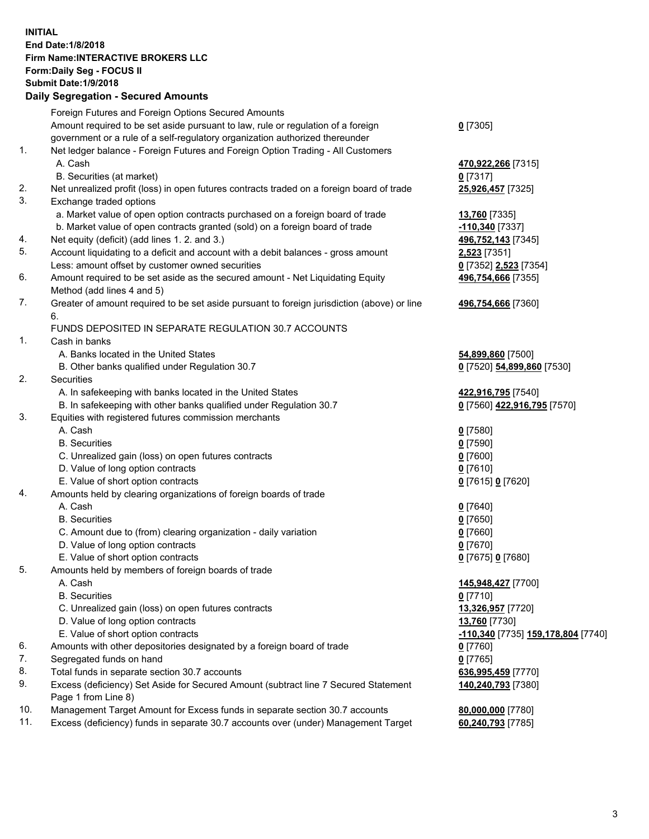## **INITIAL End Date:1/8/2018 Firm Name:INTERACTIVE BROKERS LLC Form:Daily Seg - FOCUS II Submit Date:1/9/2018 Daily Segregation - Secured Amounts**

|     | Daily Segregation - Secured Aniounts                                                        |                                    |
|-----|---------------------------------------------------------------------------------------------|------------------------------------|
|     | Foreign Futures and Foreign Options Secured Amounts                                         |                                    |
|     | Amount required to be set aside pursuant to law, rule or regulation of a foreign            | $0$ [7305]                         |
|     | government or a rule of a self-regulatory organization authorized thereunder                |                                    |
| 1.  | Net ledger balance - Foreign Futures and Foreign Option Trading - All Customers             |                                    |
|     | A. Cash                                                                                     | 470,922,266 [7315]                 |
|     | B. Securities (at market)                                                                   | $0$ [7317]                         |
| 2.  | Net unrealized profit (loss) in open futures contracts traded on a foreign board of trade   | 25,926,457 [7325]                  |
| 3.  | Exchange traded options                                                                     |                                    |
|     | a. Market value of open option contracts purchased on a foreign board of trade              | 13,760 [7335]                      |
|     | b. Market value of open contracts granted (sold) on a foreign board of trade                | -110,340 <sup>[7337]</sup>         |
| 4.  | Net equity (deficit) (add lines 1.2. and 3.)                                                | 496,752,143 [7345]                 |
| 5.  | Account liquidating to a deficit and account with a debit balances - gross amount           | 2,523 [7351]                       |
|     | Less: amount offset by customer owned securities                                            | 0 [7352] 2,523 [7354]              |
| 6.  | Amount required to be set aside as the secured amount - Net Liquidating Equity              | 496,754,666 [7355]                 |
|     | Method (add lines 4 and 5)                                                                  |                                    |
| 7.  | Greater of amount required to be set aside pursuant to foreign jurisdiction (above) or line | 496,754,666 [7360]                 |
|     | 6.                                                                                          |                                    |
|     | FUNDS DEPOSITED IN SEPARATE REGULATION 30.7 ACCOUNTS                                        |                                    |
| 1.  | Cash in banks                                                                               |                                    |
|     | A. Banks located in the United States                                                       | 54,899,860 [7500]                  |
|     | B. Other banks qualified under Regulation 30.7                                              | 0 [7520] 54,899,860 [7530]         |
| 2.  | Securities                                                                                  |                                    |
|     | A. In safekeeping with banks located in the United States                                   | 422,916,795 [7540]                 |
|     | B. In safekeeping with other banks qualified under Regulation 30.7                          | 0 [7560] 422,916,795 [7570]        |
| 3.  | Equities with registered futures commission merchants                                       |                                    |
|     | A. Cash                                                                                     | $0$ [7580]                         |
|     | <b>B.</b> Securities                                                                        | $0$ [7590]                         |
|     | C. Unrealized gain (loss) on open futures contracts                                         | $0$ [7600]                         |
|     | D. Value of long option contracts                                                           | $0$ [7610]                         |
|     | E. Value of short option contracts                                                          | 0 [7615] 0 [7620]                  |
| 4.  | Amounts held by clearing organizations of foreign boards of trade                           |                                    |
|     | A. Cash                                                                                     | $0$ [7640]                         |
|     | <b>B.</b> Securities                                                                        | $0$ [7650]                         |
|     | C. Amount due to (from) clearing organization - daily variation                             | $0$ [7660]                         |
|     | D. Value of long option contracts                                                           | $0$ [7670]                         |
|     | E. Value of short option contracts                                                          | 0 [7675] 0 [7680]                  |
| 5.  | Amounts held by members of foreign boards of trade                                          |                                    |
|     | A. Cash                                                                                     | 145,948,427 [7700]                 |
|     | <b>B.</b> Securities                                                                        | $0$ [7710]                         |
|     | C. Unrealized gain (loss) on open futures contracts                                         | 13,326,957 [7720]                  |
|     | D. Value of long option contracts                                                           | 13,760 [7730]                      |
|     | E. Value of short option contracts                                                          | -110,340 [7735] 159,178,804 [7740] |
| 6.  | Amounts with other depositories designated by a foreign board of trade                      | 0 [7760]                           |
| 7.  | Segregated funds on hand                                                                    | $0$ [7765]                         |
| 8.  | Total funds in separate section 30.7 accounts                                               | 636,995,459 [7770]                 |
| 9.  | Excess (deficiency) Set Aside for Secured Amount (subtract line 7 Secured Statement         | 140,240,793 [7380]                 |
|     | Page 1 from Line 8)                                                                         |                                    |
| 10. | Management Target Amount for Excess funds in separate section 30.7 accounts                 | 80,000,000 [7780]                  |
| 11. | Excess (deficiency) funds in separate 30.7 accounts over (under) Management Target          | 60,240,793 [7785]                  |
|     |                                                                                             |                                    |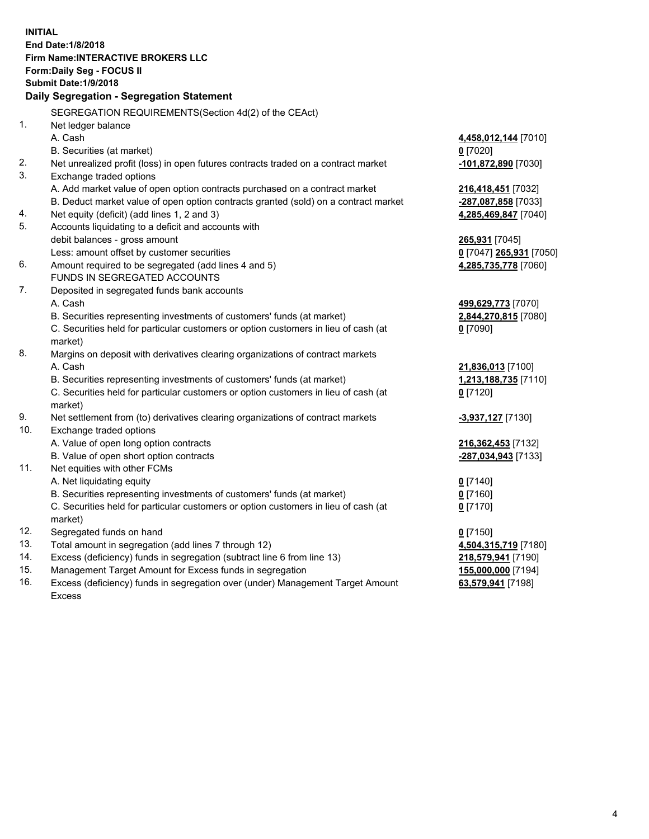**INITIAL End Date:1/8/2018 Firm Name:INTERACTIVE BROKERS LLC Form:Daily Seg - FOCUS II Submit Date:1/9/2018 Daily Segregation - Segregation Statement** SEGREGATION REQUIREMENTS(Section 4d(2) of the CEAct) 1. Net ledger balance A. Cash **4,458,012,144** [7010] B. Securities (at market) **0** [7020] 2. Net unrealized profit (loss) in open futures contracts traded on a contract market **-101,872,890** [7030] 3. Exchange traded options A. Add market value of open option contracts purchased on a contract market **216,418,451** [7032] B. Deduct market value of open option contracts granted (sold) on a contract market **-287,087,858** [7033] 4. Net equity (deficit) (add lines 1, 2 and 3) **4,285,469,847** [7040] 5. Accounts liquidating to a deficit and accounts with debit balances - gross amount **265,931** [7045] Less: amount offset by customer securities **0** [7047] **265,931** [7050] 6. Amount required to be segregated (add lines 4 and 5) **4,285,735,778** [7060] FUNDS IN SEGREGATED ACCOUNTS 7. Deposited in segregated funds bank accounts A. Cash **499,629,773** [7070] B. Securities representing investments of customers' funds (at market) **2,844,270,815** [7080] C. Securities held for particular customers or option customers in lieu of cash (at market) **0** [7090] 8. Margins on deposit with derivatives clearing organizations of contract markets A. Cash **21,836,013** [7100] B. Securities representing investments of customers' funds (at market) **1,213,188,735** [7110] C. Securities held for particular customers or option customers in lieu of cash (at market) **0** [7120] 9. Net settlement from (to) derivatives clearing organizations of contract markets **-3,937,127** [7130] 10. Exchange traded options A. Value of open long option contracts **216,362,453** [7132] B. Value of open short option contracts **-287,034,943** [7133] 11. Net equities with other FCMs A. Net liquidating equity **0** [7140] B. Securities representing investments of customers' funds (at market) **0** [7160] C. Securities held for particular customers or option customers in lieu of cash (at market) **0** [7170] 12. Segregated funds on hand **0** [7150] 13. Total amount in segregation (add lines 7 through 12) **4,504,315,719** [7180] 14. Excess (deficiency) funds in segregation (subtract line 6 from line 13) **218,579,941** [7190] 15. Management Target Amount for Excess funds in segregation **155,000,000** [7194] **63,579,941** [7198]

16. Excess (deficiency) funds in segregation over (under) Management Target Amount Excess